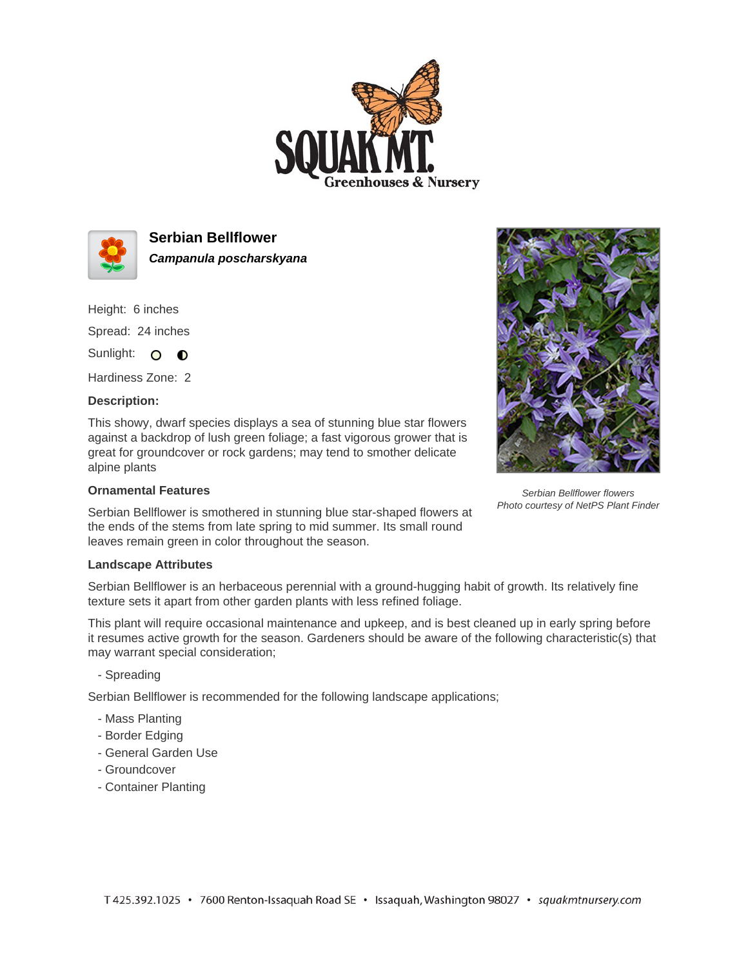



**Serbian Bellflower Campanula poscharskyana**

Height: 6 inches

Spread: 24 inches

Sunlight: O **O** 

Hardiness Zone: 2

## **Description:**

This showy, dwarf species displays a sea of stunning blue star flowers against a backdrop of lush green foliage; a fast vigorous grower that is great for groundcover or rock gardens; may tend to smother delicate alpine plants

## **Ornamental Features**

Serbian Bellflower is smothered in stunning blue star-shaped flowers at the ends of the stems from late spring to mid summer. Its small round leaves remain green in color throughout the season.

## **Landscape Attributes**

Serbian Bellflower is an herbaceous perennial with a ground-hugging habit of growth. Its relatively fine texture sets it apart from other garden plants with less refined foliage.

This plant will require occasional maintenance and upkeep, and is best cleaned up in early spring before it resumes active growth for the season. Gardeners should be aware of the following characteristic(s) that may warrant special consideration;

- Spreading

Serbian Bellflower is recommended for the following landscape applications;

- Mass Planting
- Border Edging
- General Garden Use
- Groundcover
- Container Planting



Serbian Bellflower flowers Photo courtesy of NetPS Plant Finder